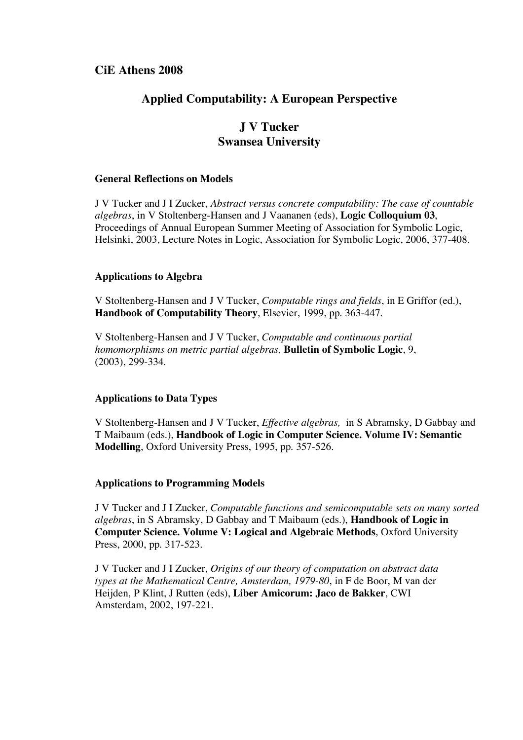## **CiE Athens 2008**

# **Applied Computability: A European Perspective**

# **J V Tucker Swansea University**

### **General Reflections on Models**

J V Tucker and J I Zucker, *Abstract versus concrete computability: The case of countable algebras*, in V Stoltenberg-Hansen and J Vaananen (eds), **Logic Colloquium 03**, Proceedings of Annual European Summer Meeting of Association for Symbolic Logic, Helsinki, 2003, Lecture Notes in Logic, Association for Symbolic Logic, 2006, 377-408.

#### **Applications to Algebra**

V Stoltenberg-Hansen and J V Tucker, *Computable rings and fields*, in E Griffor (ed.), **Handbook of Computability Theory**, Elsevier, 1999, pp. 363-447.

V Stoltenberg-Hansen and J V Tucker, *Computable and continuous partial homomorphisms on metric partial algebras,* **Bulletin of Symbolic Logic**, 9, (2003), 299-334.

#### **Applications to Data Types**

V Stoltenberg-Hansen and J V Tucker, *Effective algebras,* in S Abramsky, D Gabbay and T Maibaum (eds.), **Handbook of Logic in Computer Science. Volume IV: Semantic Modelling**, Oxford University Press, 1995, pp. 357-526.

#### **Applications to Programming Models**

J V Tucker and J I Zucker, *Computable functions and semicomputable sets on many sorted algebras*, in S Abramsky, D Gabbay and T Maibaum (eds.), **Handbook of Logic in Computer Science. Volume V: Logical and Algebraic Methods**, Oxford University Press, 2000, pp. 317-523.

J V Tucker and J I Zucker, *Origins of our theory of computation on abstract data types at the Mathematical Centre, Amsterdam, 1979-80*, in F de Boor, M van der Heijden, P Klint, J Rutten (eds), **Liber Amicorum: Jaco de Bakker**, CWI Amsterdam, 2002, 197-221.